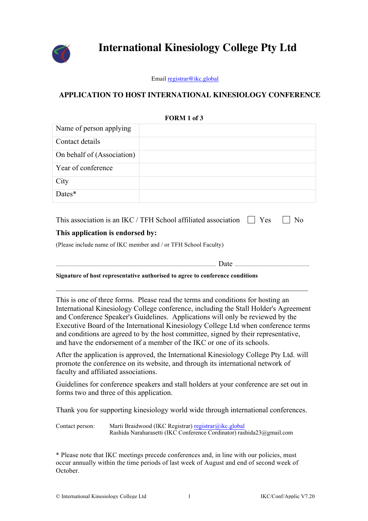

# **International Kinesiology College Pty Ltd**

Email registrar@ikc.global

## **APPLICATION TO HOST INTERNATIONAL KINESIOLOGY CONFERENCE**

|                                                                                                                                                                                                                                                                                                                                                                                                                                                                                                                  | FUKM 1 01 J                                                                                                                   |  |
|------------------------------------------------------------------------------------------------------------------------------------------------------------------------------------------------------------------------------------------------------------------------------------------------------------------------------------------------------------------------------------------------------------------------------------------------------------------------------------------------------------------|-------------------------------------------------------------------------------------------------------------------------------|--|
| Name of person applying                                                                                                                                                                                                                                                                                                                                                                                                                                                                                          |                                                                                                                               |  |
| Contact details                                                                                                                                                                                                                                                                                                                                                                                                                                                                                                  |                                                                                                                               |  |
| On behalf of (Association)                                                                                                                                                                                                                                                                                                                                                                                                                                                                                       |                                                                                                                               |  |
| Year of conference                                                                                                                                                                                                                                                                                                                                                                                                                                                                                               |                                                                                                                               |  |
| City                                                                                                                                                                                                                                                                                                                                                                                                                                                                                                             |                                                                                                                               |  |
| Dates*                                                                                                                                                                                                                                                                                                                                                                                                                                                                                                           |                                                                                                                               |  |
| This association is an IKC / TFH School affiliated association<br>Yes<br>N <sub>0</sub><br>This application is endorsed by:<br>(Please include name of IKC member and / or TFH School Faculty)                                                                                                                                                                                                                                                                                                                   |                                                                                                                               |  |
|                                                                                                                                                                                                                                                                                                                                                                                                                                                                                                                  |                                                                                                                               |  |
| Signature of host representative authorised to agree to conference conditions                                                                                                                                                                                                                                                                                                                                                                                                                                    |                                                                                                                               |  |
| This is one of three forms. Please read the terms and conditions for hosting an<br>International Kinesiology College conference, including the Stall Holder's Agreement<br>and Conference Speaker's Guidelines. Applications will only be reviewed by the<br>Executive Board of the International Kinesiology College Ltd when conference terms<br>and conditions are agreed to by the host committee, signed by their representative,<br>and have the endorsement of a member of the IKC or one of its schools. |                                                                                                                               |  |
| After the application is approved, the International Kinesiology College Pty Ltd. will<br>promote the conference on its website, and through its international network of<br>faculty and affiliated associations.                                                                                                                                                                                                                                                                                                |                                                                                                                               |  |
| forms two and three of this application.                                                                                                                                                                                                                                                                                                                                                                                                                                                                         | Guidelines for conference speakers and stall holders at your conference are set out in                                        |  |
| Thank you for supporting kinesiology world wide through international conferences.                                                                                                                                                                                                                                                                                                                                                                                                                               |                                                                                                                               |  |
| Contact person:                                                                                                                                                                                                                                                                                                                                                                                                                                                                                                  | Marti Braidwood (IKC Registrar) registrar@ikc.global<br>Rashida Naraharasetti (IKC Conference Cordinator) rashida23@gmail.com |  |
| * Please note that IKC meetings precede conferences and, in line with our policies, must<br>occur annually within the time periods of last week of August and end of second week of                                                                                                                                                                                                                                                                                                                              |                                                                                                                               |  |

**FORM 1 of 3**

October.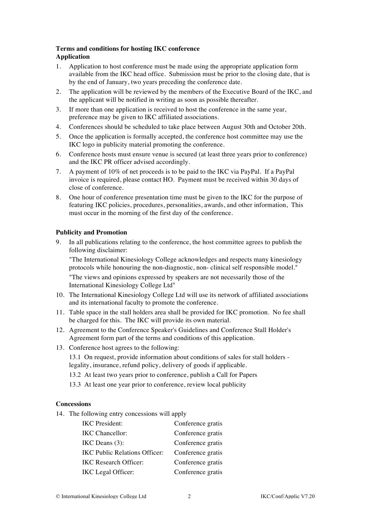### **Terms and conditions for hosting IKC conference Application**

- 1. Application to host conference must be made using the appropriate application form available from the IKC head office. Submission must be prior to the closing date, that is by the end of January, two years preceding the conference date.
- 2. The application will be reviewed by the members of the Executive Board of the IKC, and the applicant will be notified in writing as soon as possible thereafter.
- 3. If more than one application is received to host the conference in the same year, preference may be given to IKC affiliated associations.
- 4. Conferences should be scheduled to take place between August 30th and October 20th.
- 5. Once the application is formally accepted, the conference host committee may use the IKC logo in publicity material promoting the conference.
- 6. Conference hosts must ensure venue is secured (at least three years prior to conference) and the IKC PR officer advised accordingly.
- 7. A payment of 10% of net proceeds is to be paid to the IKC via PayPal. If a PayPal invoice is required, please contact HO. Payment must be received within 30 days of close of conference.
- 8. One hour of conference presentation time must be given to the IKC for the purpose of featuring IKC policies, procedures, personalities, awards, and other information, This must occur in the morning of the first day of the conference.

#### **Publicity and Promotion**

9. In all publications relating to the conference, the host committee agrees to publish the following disclaimer:

"The International Kinesiology College acknowledges and respects many kinesiology protocols while honouring the non-diagnostic, non- clinical self responsible model."

"The views and opinions expressed by speakers are not necessarily those of the International Kinesiology College Ltd"

- 10. The International Kinesiology College Ltd will use its network of affiliated associations and its international faculty to promote the conference.
- 11. Table space in the stall holders area shall be provided for IKC promotion. No fee shall be charged for this. The IKC will provide its own material.
- 12. Agreement to the Conference Speaker's Guidelines and Conference Stall Holder's Agreement form part of the terms and conditions of this application.
- 13. Conference host agrees to the following:

13.1 On request, provide information about conditions of sales for stall holders legality, insurance, refund policy, delivery of goods if applicable.

- 13.2 At least two years prior to conference, publish a Call for Papers
- 13.3 At least one year prior to conference, review local publicity

#### **Concessions**

14. The following entry concessions will apply

| <b>IKC</b> President:         | Conference gratis |
|-------------------------------|-------------------|
| <b>IKC</b> Chancellor:        | Conference gratis |
| $IKC$ Deans $(3)$ :           | Conference gratis |
| IKC Public Relations Officer: | Conference gratis |
| <b>IKC Research Officer:</b>  | Conference gratis |
| IKC Legal Officer:            | Conference gratis |